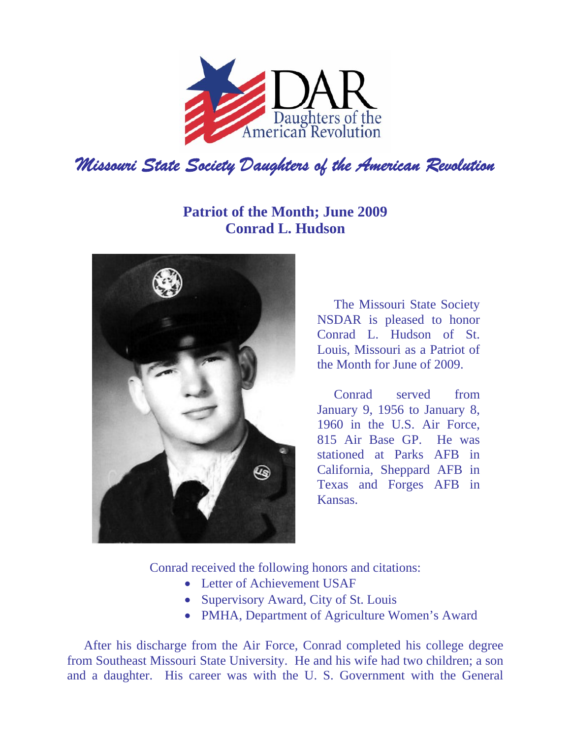

## **Patriot of the Month; June 2009 Conrad L. Hudson**



The Missouri State Society NSDAR is pleased to honor Conrad L. Hudson of St. Louis, Missouri as a Patriot of the Month for June of 2009.

Conrad served from January 9, 1956 to January 8, 1960 in the U.S. Air Force, 815 Air Base GP. He was stationed at Parks AFB in California, Sheppard AFB in Texas and Forges AFB in Kansas.

Conrad received the following honors and citations:

- Letter of Achievement USAF
- Supervisory Award, City of St. Louis
- PMHA, Department of Agriculture Women's Award

After his discharge from the Air Force, Conrad completed his college degree from Southeast Missouri State University. He and his wife had two children; a son and a daughter. His career was with the U. S. Government with the General